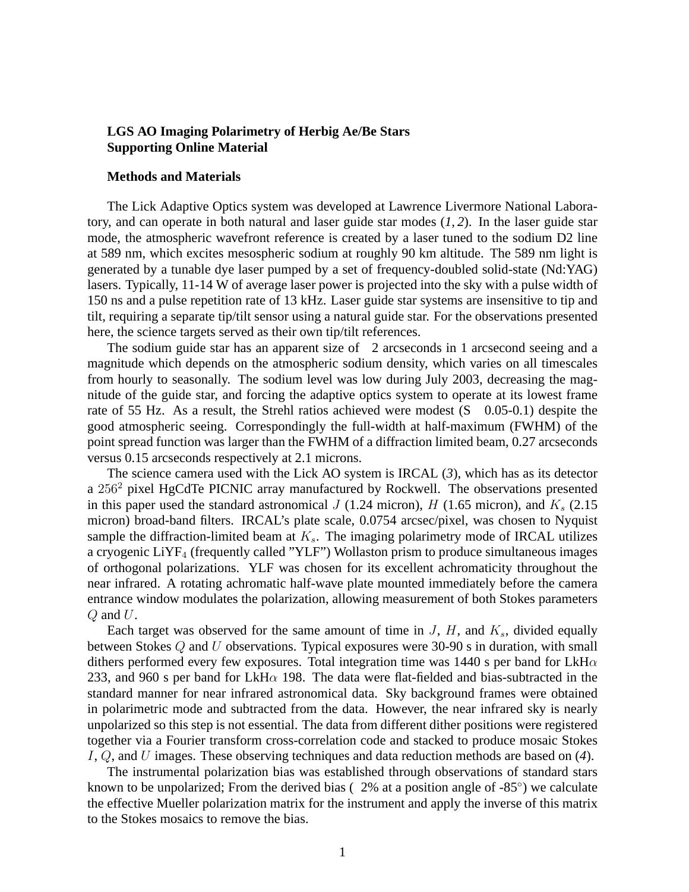## **LGS AO Imaging Polarimetry of Herbig Ae/Be Stars Supporting Online Material**

## **Methods and Materials**

The Lick Adaptive Optics system was developed at Lawrence Livermore National Laboratory, and can operate in both natural and laser guide star modes (*1, 2*). In the laser guide star mode, the atmospheric wavefront reference is created by a laser tuned to the sodium D2 line at 589 nm, which excites mesospheric sodium at roughly 90 km altitude. The 589 nm light is generated by a tunable dye laser pumped by a set of frequency-doubled solid-state (Nd:YAG) lasers. Typically, 11-14 W of average laser power is projected into the sky with a pulse width of 150 ns and a pulse repetition rate of 13 kHz. Laser guide star systems are insensitive to tip and tilt, requiring a separate tip/tilt sensor using a natural guide star. For the observations presented here, the science targets served as their own tip/tilt references.

The sodium guide star has an apparent size of 2 arcseconds in 1 arcsecond seeing and a magnitude which depends on the atmospheric sodium density, which varies on all timescales from hourly to seasonally. The sodium level was low during July 2003, decreasing the magnitude of the guide star, and forcing the adaptive optics system to operate at its lowest frame rate of 55 Hz. As a result, the Strehl ratios achieved were modest (S 0.05-0.1) despite the good atmospheric seeing. Correspondingly the full-width at half-maximum (FWHM) of the point spread function was larger than the FWHM of a diffraction limited beam, 0.27 arcseconds versus 0.15 arcseconds respectively at 2.1 microns.

The science camera used with the Lick AO system is IRCAL (*3*), which has as its detector a 256<sup>2</sup> pixel HgCdTe PICNIC array manufactured by Rockwell. The observations presented in this paper used the standard astronomical  $J$  (1.24 micron),  $H$  (1.65 micron), and  $K<sub>s</sub>$  (2.15 micron) broad-band filters. IRCAL's plate scale, 0.0754 arcsec/pixel, was chosen to Nyquist sample the diffraction-limited beam at  $K_s$ . The imaging polarimetry mode of IRCAL utilizes a cryogenic LiYF<sub>4</sub> (frequently called "YLF") Wollaston prism to produce simultaneous images of orthogonal polarizations. YLF was chosen for its excellent achromaticity throughout the near infrared. A rotating achromatic half-wave plate mounted immediately before the camera entrance window modulates the polarization, allowing measurement of both Stokes parameters  $Q$  and  $U$ .

Each target was observed for the same amount of time in  $J$ ,  $H$ , and  $K_s$ , divided equally between Stokes Q and U observations. Typical exposures were 30-90 s in duration, with small dithers performed every few exposures. Total integration time was 1440 s per band for LkH $\alpha$ 233, and 960 s per band for LkH $\alpha$  198. The data were flat-fielded and bias-subtracted in the standard manner for near infrared astronomical data. Sky background frames were obtained in polarimetric mode and subtracted from the data. However, the near infrared sky is nearly unpolarized so this step is not essential. The data from different dither positions were registered together via a Fourier transform cross-correlation code and stacked to produce mosaic Stokes I, Q, and U images. These observing techniques and data reduction methods are based on (*4*).

The instrumental polarization bias was established through observations of standard stars known to be unpolarized; From the derived bias (2% at a position angle of -85°) we calculate the effective Mueller polarization matrix for the instrument and apply the inverse of this matrix to the Stokes mosaics to remove the bias.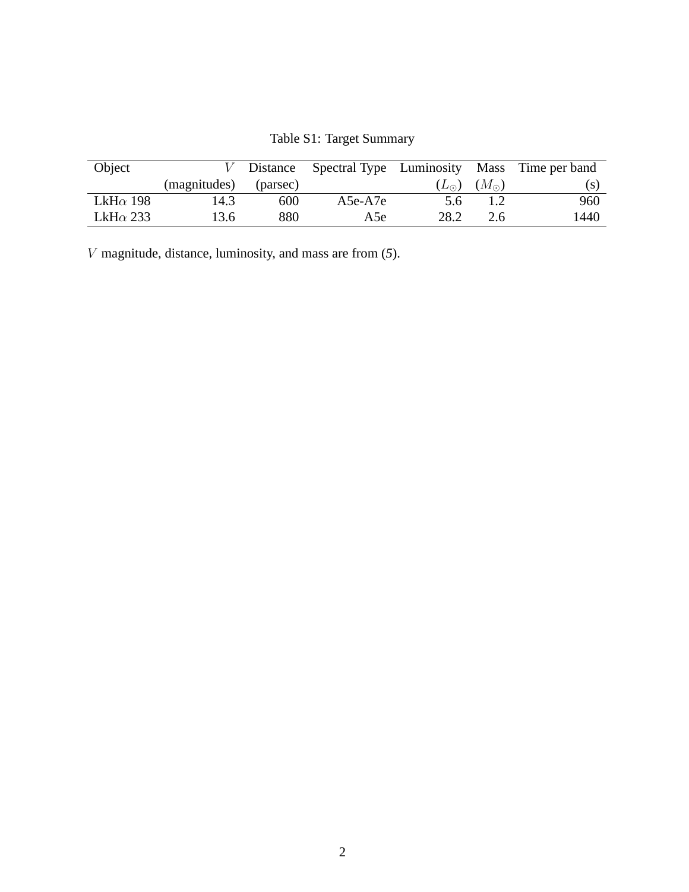| Object           |              | Distance |            |      |                             | Spectral Type Luminosity Mass Time per band |
|------------------|--------------|----------|------------|------|-----------------------------|---------------------------------------------|
|                  | (magnitudes) | (parsec) |            |      | $(L_{\odot})$ $(M_{\odot})$ | (S)                                         |
| LkH $\alpha$ 198 | 14.3         | 600      | $A5e- A7e$ | 5.6  |                             | 960                                         |
| LkH $\alpha$ 233 | 13.6         | 880      | A5e        | 28.2 | 2.6                         | 1440                                        |

Table S1: Target Summary

V magnitude, distance, luminosity, and mass are from (*5*).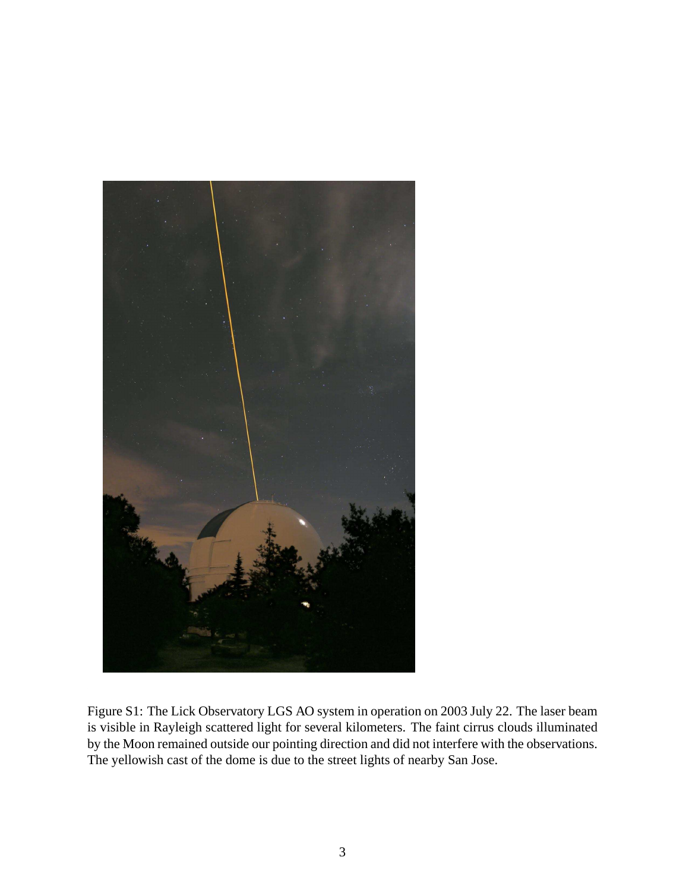

Figure S1: The Lick Observatory LGS AO system in operation on 2003 July 22. The laser beam is visible in Rayleigh scattered light for several kilometers. The faint cirrus clouds illuminated by the Moon remained outside our pointing direction and did not interfere with the observations. The yellowish cast of the dome is due to the street lights of nearby San Jose.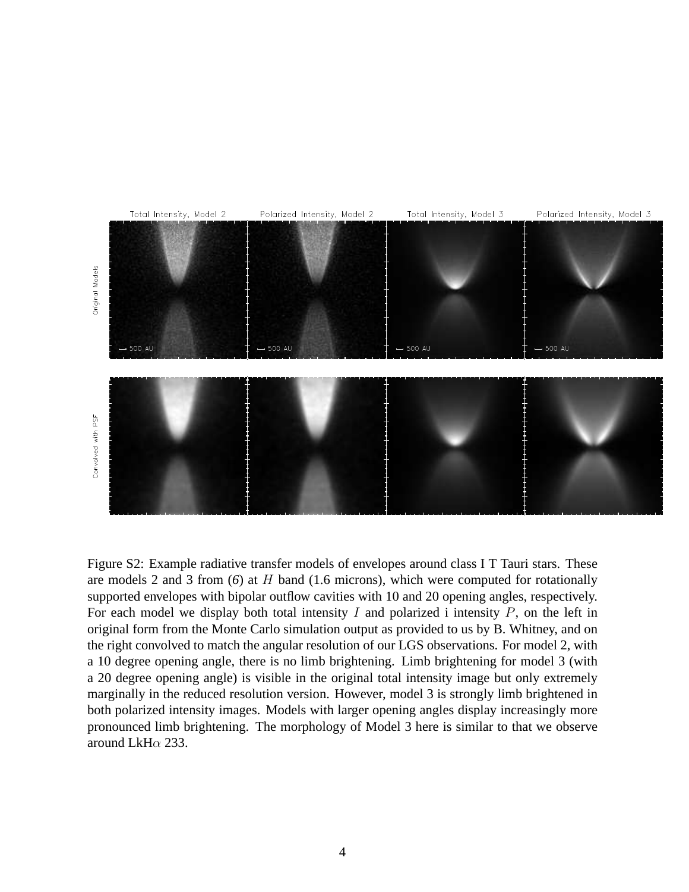

Figure S2: Example radiative transfer models of envelopes around class I T Tauri stars. These are models 2 and 3 from (*6*) at H band (1.6 microns), which were computed for rotationally supported envelopes with bipolar outflow cavities with 10 and 20 opening angles, respectively. For each model we display both total intensity  $I$  and polarized i intensity  $P$ , on the left in original form from the Monte Carlo simulation output as provided to us by B. Whitney, and on the right convolved to match the angular resolution of our LGS observations. For model 2, with a 10 degree opening angle, there is no limb brightening. Limb brightening for model 3 (with a 20 degree opening angle) is visible in the original total intensity image but only extremely marginally in the reduced resolution version. However, model 3 is strongly limb brightened in both polarized intensity images. Models with larger opening angles display increasingly more pronounced limb brightening. The morphology of Model 3 here is similar to that we observe around LkH $\alpha$  233.